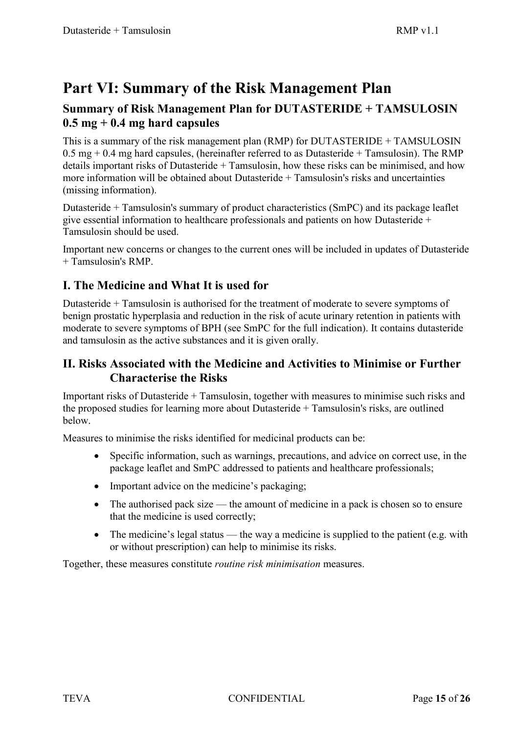# **Part VI: Summary of the Risk Management Plan**

# **Summary of Risk Management Plan for DUTASTERIDE + TAMSULOSIN 0.5 mg + 0.4 mg hard capsules**

This is a summary of the risk management plan (RMP) for DUTASTERIDE + TAMSULOSIN  $0.5$  mg + 0.4 mg hard capsules, (hereinafter referred to as Dutasteride + Tamsulosin). The RMP details important risks of Dutasteride + Tamsulosin, how these risks can be minimised, and how more information will be obtained about Dutasteride + Tamsulosin's risks and uncertainties (missing information).

Dutasteride + Tamsulosin's summary of product characteristics (SmPC) and its package leaflet give essential information to healthcare professionals and patients on how Dutasteride + Tamsulosin should be used.

Important new concerns or changes to the current ones will be included in updates of Dutasteride + Tamsulosin's RMP.

# **I. The Medicine and What It is used for**

Dutasteride + Tamsulosin is authorised for the treatment of moderate to severe symptoms of benign prostatic hyperplasia and reduction in the risk of acute urinary retention in patients with moderate to severe symptoms of BPH (see SmPC for the full indication). It contains dutasteride and tamsulosin as the active substances and it is given orally.

### **II. Risks Associated with the Medicine and Activities to Minimise or Further Characterise the Risks**

Important risks of Dutasteride + Tamsulosin, together with measures to minimise such risks and the proposed studies for learning more about Dutasteride + Tamsulosin's risks, are outlined below.

Measures to minimise the risks identified for medicinal products can be:

- Specific information, such as warnings, precautions, and advice on correct use, in the package leaflet and SmPC addressed to patients and healthcare professionals;
- Important advice on the medicine's packaging;
- The authorised pack size the amount of medicine in a pack is chosen so to ensure that the medicine is used correctly;
- The medicine's legal status the way a medicine is supplied to the patient (e.g. with or without prescription) can help to minimise its risks.

Together, these measures constitute *routine risk minimisation* measures.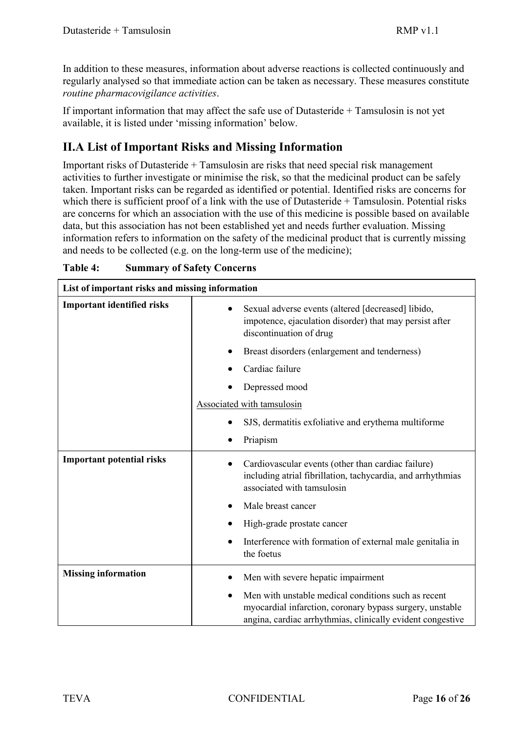In addition to these measures, information about adverse reactions is collected continuously and regularly analysed so that immediate action can be taken as necessary. These measures constitute *routine pharmacovigilance activities*.

If important information that may affect the safe use of Dutasteride + Tamsulosin is not yet available, it is listed under 'missing information' below.

# **II.A List of Important Risks and Missing Information**

Important risks of Dutasteride + Tamsulosin are risks that need special risk management activities to further investigate or minimise the risk, so that the medicinal product can be safely taken. Important risks can be regarded as identified or potential. Identified risks are concerns for which there is sufficient proof of a link with the use of Dutasteride + Tamsulosin. Potential risks are concerns for which an association with the use of this medicine is possible based on available data, but this association has not been established yet and needs further evaluation. Missing information refers to information on the safety of the medicinal product that is currently missing and needs to be collected (e.g. on the long-term use of the medicine);

| List of important risks and missing information |                                                                                                                                                                               |
|-------------------------------------------------|-------------------------------------------------------------------------------------------------------------------------------------------------------------------------------|
| <b>Important identified risks</b>               | Sexual adverse events (altered [decreased] libido,<br>impotence, ejaculation disorder) that may persist after<br>discontinuation of drug                                      |
|                                                 | Breast disorders (enlargement and tenderness)                                                                                                                                 |
|                                                 | Cardiac failure                                                                                                                                                               |
|                                                 | Depressed mood                                                                                                                                                                |
|                                                 | Associated with tamsulosin                                                                                                                                                    |
|                                                 | SJS, dermatitis exfoliative and erythema multiforme                                                                                                                           |
|                                                 | Priapism                                                                                                                                                                      |
| <b>Important potential risks</b>                | Cardiovascular events (other than cardiac failure)<br>including atrial fibrillation, tachycardia, and arrhythmias<br>associated with tamsulosin                               |
|                                                 | Male breast cancer                                                                                                                                                            |
|                                                 | High-grade prostate cancer                                                                                                                                                    |
|                                                 | Interference with formation of external male genitalia in<br>the foetus                                                                                                       |
| <b>Missing information</b>                      | Men with severe hepatic impairment                                                                                                                                            |
|                                                 | Men with unstable medical conditions such as recent<br>myocardial infarction, coronary bypass surgery, unstable<br>angina, cardiac arrhythmias, clinically evident congestive |

**Table 4: Summary of Safety Concerns**